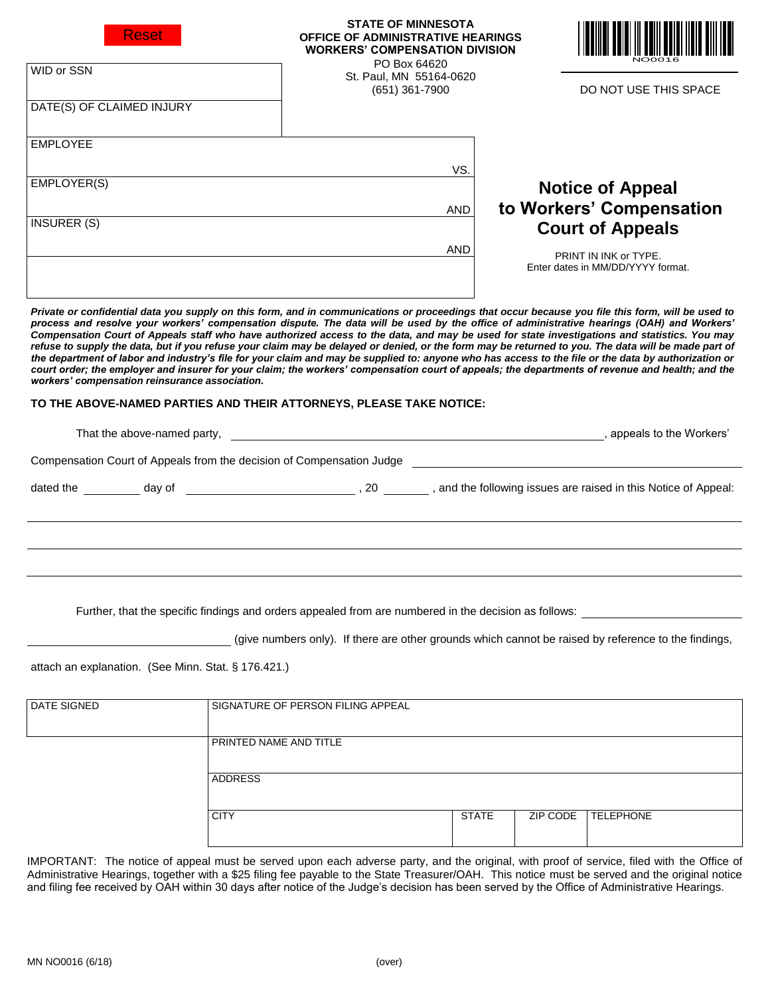| Reset                                                                                                                                                                                                                                                                                                                                                                                                                                                                                                                                                                                                                                                                                                                                                                                                                                                                                                                                                                                                                                      | <b>STATE OF MINNESOTA</b><br><b>OFFICE OF ADMINISTRATIVE HEARINGS</b><br><b>WORKERS' COMPENSATION DIVISION</b><br>PO Box 64620 |  |                                                            |
|--------------------------------------------------------------------------------------------------------------------------------------------------------------------------------------------------------------------------------------------------------------------------------------------------------------------------------------------------------------------------------------------------------------------------------------------------------------------------------------------------------------------------------------------------------------------------------------------------------------------------------------------------------------------------------------------------------------------------------------------------------------------------------------------------------------------------------------------------------------------------------------------------------------------------------------------------------------------------------------------------------------------------------------------|--------------------------------------------------------------------------------------------------------------------------------|--|------------------------------------------------------------|
| WID or SSN                                                                                                                                                                                                                                                                                                                                                                                                                                                                                                                                                                                                                                                                                                                                                                                                                                                                                                                                                                                                                                 | St. Paul, MN 55164-0620<br>$(651)$ 361-7900                                                                                    |  | DO NOT USE THIS SPACE                                      |
| DATE(S) OF CLAIMED INJURY                                                                                                                                                                                                                                                                                                                                                                                                                                                                                                                                                                                                                                                                                                                                                                                                                                                                                                                                                                                                                  |                                                                                                                                |  |                                                            |
| <b>EMPLOYEE</b>                                                                                                                                                                                                                                                                                                                                                                                                                                                                                                                                                                                                                                                                                                                                                                                                                                                                                                                                                                                                                            |                                                                                                                                |  |                                                            |
|                                                                                                                                                                                                                                                                                                                                                                                                                                                                                                                                                                                                                                                                                                                                                                                                                                                                                                                                                                                                                                            | VS.                                                                                                                            |  |                                                            |
| EMPLOYER(S)                                                                                                                                                                                                                                                                                                                                                                                                                                                                                                                                                                                                                                                                                                                                                                                                                                                                                                                                                                                                                                |                                                                                                                                |  | <b>Notice of Appeal</b>                                    |
|                                                                                                                                                                                                                                                                                                                                                                                                                                                                                                                                                                                                                                                                                                                                                                                                                                                                                                                                                                                                                                            | <b>AND</b>                                                                                                                     |  | to Workers' Compensation                                   |
| <b>INSURER (S)</b>                                                                                                                                                                                                                                                                                                                                                                                                                                                                                                                                                                                                                                                                                                                                                                                                                                                                                                                                                                                                                         |                                                                                                                                |  | <b>Court of Appeals</b>                                    |
|                                                                                                                                                                                                                                                                                                                                                                                                                                                                                                                                                                                                                                                                                                                                                                                                                                                                                                                                                                                                                                            | AND                                                                                                                            |  |                                                            |
|                                                                                                                                                                                                                                                                                                                                                                                                                                                                                                                                                                                                                                                                                                                                                                                                                                                                                                                                                                                                                                            |                                                                                                                                |  | PRINT IN INK or TYPE.<br>Enter dates in MM/DD/YYYY format. |
|                                                                                                                                                                                                                                                                                                                                                                                                                                                                                                                                                                                                                                                                                                                                                                                                                                                                                                                                                                                                                                            |                                                                                                                                |  |                                                            |
| Private or confidential data you supply on this form, and in communications or proceedings that occur because you file this form, will be used to<br>process and resolve your workers' compensation dispute. The data will be used by the office of administrative hearings (OAH) and Workers'<br>Compensation Court of Appeals staff who have authorized access to the data, and may be used for state investigations and statistics. You may<br>refuse to supply the data, but if you refuse your claim may be delayed or denied, or the form may be returned to you. The data will be made part of<br>the department of labor and industry's file for your claim and may be supplied to: anyone who has access to the file or the data by authorization or<br>court order; the employer and insurer for your claim; the workers' compensation court of appeals; the departments of revenue and health; and the<br>workers' compensation reinsurance association.<br>TO THE ABOVE-NAMED PARTIES AND THEIR ATTORNEYS, PLEASE TAKE NOTICE: |                                                                                                                                |  |                                                            |
|                                                                                                                                                                                                                                                                                                                                                                                                                                                                                                                                                                                                                                                                                                                                                                                                                                                                                                                                                                                                                                            |                                                                                                                                |  |                                                            |
| That the above-named party, <u>entitled as a series of the above-named and the above-named party, and the Workers'</u>                                                                                                                                                                                                                                                                                                                                                                                                                                                                                                                                                                                                                                                                                                                                                                                                                                                                                                                     |                                                                                                                                |  |                                                            |
| Compensation Court of Appeals from the decision of Compensation Judge [1989] [1989] [1989] [1989] [1989] [1989] [1989] [1989] [1989] [1989] [1989] [1989] [1989] [1989] [1989] [1989] [1989] [1989] [1989] [1989] [1989] [1989                                                                                                                                                                                                                                                                                                                                                                                                                                                                                                                                                                                                                                                                                                                                                                                                             |                                                                                                                                |  |                                                            |
|                                                                                                                                                                                                                                                                                                                                                                                                                                                                                                                                                                                                                                                                                                                                                                                                                                                                                                                                                                                                                                            |                                                                                                                                |  |                                                            |
|                                                                                                                                                                                                                                                                                                                                                                                                                                                                                                                                                                                                                                                                                                                                                                                                                                                                                                                                                                                                                                            |                                                                                                                                |  |                                                            |

Further, that the specific findings and orders appealed from are numbered in the decision as follows:

(give numbers only). If there are other grounds which cannot be raised by reference to the findings,

attach an explanation. (See Minn. Stat. § 176.421.)

| DATE SIGNED | SIGNATURE OF PERSON FILING APPEAL |              |          |                  |
|-------------|-----------------------------------|--------------|----------|------------------|
|             | PRINTED NAME AND TITLE            |              |          |                  |
|             | <b>ADDRESS</b>                    |              |          |                  |
|             | <b>CITY</b>                       | <b>STATE</b> | ZIP CODE | <b>TELEPHONE</b> |

IMPORTANT: The notice of appeal must be served upon each adverse party, and the original, with proof of service, filed with the Office of Administrative Hearings, together with a \$25 filing fee payable to the State Treasurer/OAH. This notice must be served and the original notice and filing fee received by OAH within 30 days after notice of the Judge's decision has been served by the Office of Administrative Hearings.